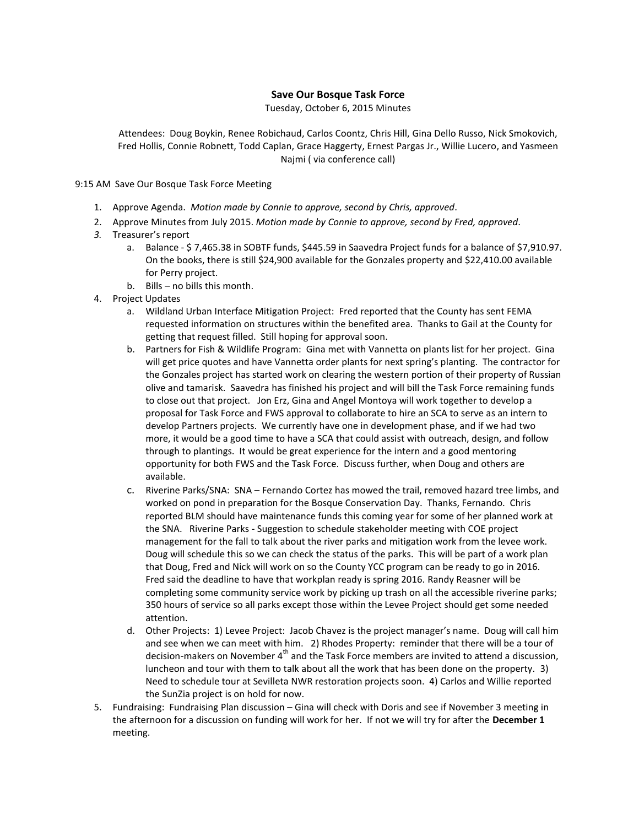## **Save Our Bosque Task Force**

Tuesday, October 6, 2015 Minutes

Attendees: Doug Boykin, Renee Robichaud, Carlos Coontz, Chris Hill, Gina Dello Russo, Nick Smokovich, Fred Hollis, Connie Robnett, Todd Caplan, Grace Haggerty, Ernest Pargas Jr., Willie Lucero, and Yasmeen Najmi ( via conference call)

9:15 AM Save Our Bosque Task Force Meeting

- 1. Approve Agenda. *Motion made by Connie to approve, second by Chris, approved*.
- 2. Approve Minutes from July 2015. *Motion made by Connie to approve, second by Fred, approved*.
- *3.* Treasurer's report
	- a. Balance \$ 7,465.38 in SOBTF funds, \$445.59 in Saavedra Project funds for a balance of \$7,910.97. On the books, there is still \$24,900 available for the Gonzales property and \$22,410.00 available for Perry project.
	- b. Bills no bills this month.
- 4. Project Updates
	- a. Wildland Urban Interface Mitigation Project: Fred reported that the County has sent FEMA requested information on structures within the benefited area. Thanks to Gail at the County for getting that request filled. Still hoping for approval soon.
	- b. Partners for Fish & Wildlife Program: Gina met with Vannetta on plants list for her project. Gina will get price quotes and have Vannetta order plants for next spring's planting. The contractor for the Gonzales project has started work on clearing the western portion of their property of Russian olive and tamarisk. Saavedra has finished his project and will bill the Task Force remaining funds to close out that project. Jon Erz, Gina and Angel Montoya will work together to develop a proposal for Task Force and FWS approval to collaborate to hire an SCA to serve as an intern to develop Partners projects. We currently have one in development phase, and if we had two more, it would be a good time to have a SCA that could assist with outreach, design, and follow through to plantings. It would be great experience for the intern and a good mentoring opportunity for both FWS and the Task Force. Discuss further, when Doug and others are available.
	- c. Riverine Parks/SNA: SNA Fernando Cortez has mowed the trail, removed hazard tree limbs, and worked on pond in preparation for the Bosque Conservation Day. Thanks, Fernando. Chris reported BLM should have maintenance funds this coming year for some of her planned work at the SNA. Riverine Parks - Suggestion to schedule stakeholder meeting with COE project management for the fall to talk about the river parks and mitigation work from the levee work. Doug will schedule this so we can check the status of the parks. This will be part of a work plan that Doug, Fred and Nick will work on so the County YCC program can be ready to go in 2016. Fred said the deadline to have that workplan ready is spring 2016. Randy Reasner will be completing some community service work by picking up trash on all the accessible riverine parks; 350 hours of service so all parks except those within the Levee Project should get some needed attention.
	- d. Other Projects: 1) Levee Project: Jacob Chavez is the project manager's name. Doug will call him and see when we can meet with him. 2) Rhodes Property: reminder that there will be a tour of decision-makers on November 4<sup>th</sup> and the Task Force members are invited to attend a discussion, luncheon and tour with them to talk about all the work that has been done on the property. 3) Need to schedule tour at Sevilleta NWR restoration projects soon. 4) Carlos and Willie reported the SunZia project is on hold for now.
- 5. Fundraising: Fundraising Plan discussion Gina will check with Doris and see if November 3 meeting in the afternoon for a discussion on funding will work for her. If not we will try for after the **December 1** meeting.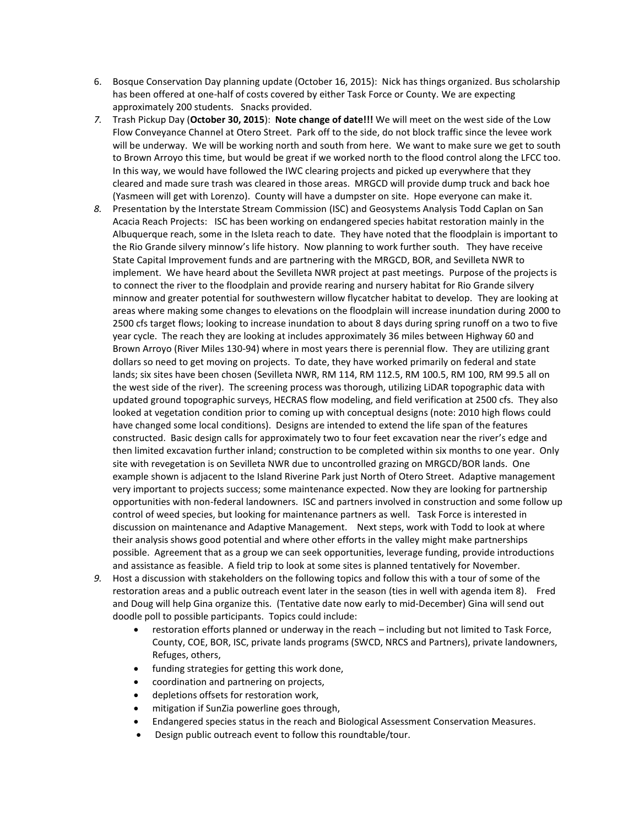- 6. Bosque Conservation Day planning update (October 16, 2015): Nick has things organized. Bus scholarship has been offered at one-half of costs covered by either Task Force or County. We are expecting approximately 200 students. Snacks provided.
- *7.* Trash Pickup Day (**October 30, 2015**): **Note change of date!!!** We will meet on the west side of the Low Flow Conveyance Channel at Otero Street. Park off to the side, do not block traffic since the levee work will be underway. We will be working north and south from here. We want to make sure we get to south to Brown Arroyo this time, but would be great if we worked north to the flood control along the LFCC too. In this way, we would have followed the IWC clearing projects and picked up everywhere that they cleared and made sure trash was cleared in those areas. MRGCD will provide dump truck and back hoe (Yasmeen will get with Lorenzo). County will have a dumpster on site. Hope everyone can make it.
- *8.* Presentation by the Interstate Stream Commission (ISC) and Geosystems Analysis Todd Caplan on San Acacia Reach Projects: ISC has been working on endangered species habitat restoration mainly in the Albuquerque reach, some in the Isleta reach to date. They have noted that the floodplain is important to the Rio Grande silvery minnow's life history. Now planning to work further south. They have receive State Capital Improvement funds and are partnering with the MRGCD, BOR, and Sevilleta NWR to implement. We have heard about the Sevilleta NWR project at past meetings. Purpose of the projects is to connect the river to the floodplain and provide rearing and nursery habitat for Rio Grande silvery minnow and greater potential for southwestern willow flycatcher habitat to develop. They are looking at areas where making some changes to elevations on the floodplain will increase inundation during 2000 to 2500 cfs target flows; looking to increase inundation to about 8 days during spring runoff on a two to five year cycle. The reach they are looking at includes approximately 36 miles between Highway 60 and Brown Arroyo (River Miles 130-94) where in most years there is perennial flow. They are utilizing grant dollars so need to get moving on projects. To date, they have worked primarily on federal and state lands; six sites have been chosen (Sevilleta NWR, RM 114, RM 112.5, RM 100.5, RM 100, RM 99.5 all on the west side of the river). The screening process was thorough, utilizing LiDAR topographic data with updated ground topographic surveys, HECRAS flow modeling, and field verification at 2500 cfs. They also looked at vegetation condition prior to coming up with conceptual designs (note: 2010 high flows could have changed some local conditions). Designs are intended to extend the life span of the features constructed. Basic design calls for approximately two to four feet excavation near the river's edge and then limited excavation further inland; construction to be completed within six months to one year. Only site with revegetation is on Sevilleta NWR due to uncontrolled grazing on MRGCD/BOR lands. One example shown is adjacent to the Island Riverine Park just North of Otero Street. Adaptive management very important to projects success; some maintenance expected. Now they are looking for partnership opportunities with non-federal landowners. ISC and partners involved in construction and some follow up control of weed species, but looking for maintenance partners as well. Task Force is interested in discussion on maintenance and Adaptive Management. Next steps, work with Todd to look at where their analysis shows good potential and where other efforts in the valley might make partnerships possible. Agreement that as a group we can seek opportunities, leverage funding, provide introductions and assistance as feasible. A field trip to look at some sites is planned tentatively for November.
- *9.* Host a discussion with stakeholders on the following topics and follow this with a tour of some of the restoration areas and a public outreach event later in the season (ties in well with agenda item 8). Fred and Doug will help Gina organize this. (Tentative date now early to mid-December) Gina will send out doodle poll to possible participants. Topics could include:
	- restoration efforts planned or underway in the reach including but not limited to Task Force, County, COE, BOR, ISC, private lands programs (SWCD, NRCS and Partners), private landowners, Refuges, others,
	- funding strategies for getting this work done,
	- coordination and partnering on projects,
	- depletions offsets for restoration work,
	- mitigation if SunZia powerline goes through,
	- Endangered species status in the reach and Biological Assessment Conservation Measures.
	- Design public outreach event to follow this roundtable/tour.